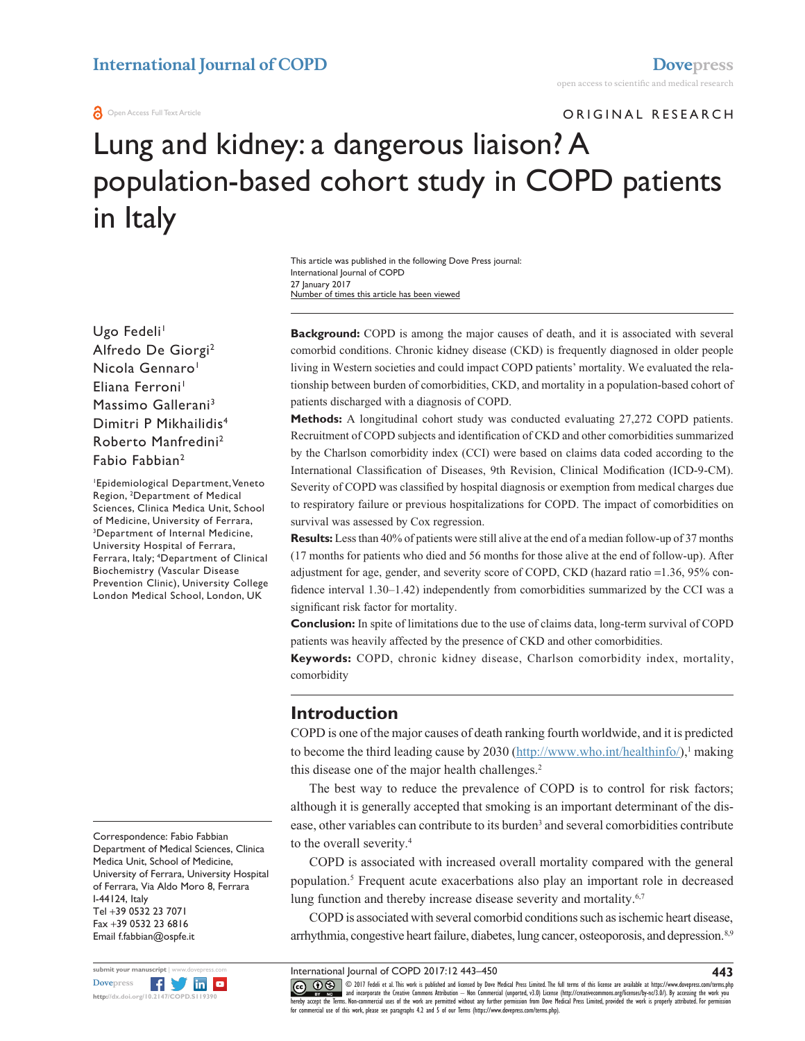#### **International Journal of COPD Dove Dove Dove Dove Dove Dove Dove Dove Dove Dove Dove Dove Dove Dove D**

#### **O** Open Access Full Text Article

ORIGINAL RESEARCH

# Lung and kidney: a dangerous liaison? A population-based cohort study in COPD patients in Italy

Number of times this article has been viewed This article was published in the following Dove Press journal: International Journal of COPD 27 January 2017

Ugo Fedeli<sup>1</sup> Alfredo De Giorgi2 Nicola Gennaro<sup>1</sup> Eliana Ferroni<sup>1</sup> Massimo Gallerani3 Dimitri P Mikhailidis4 Roberto Manfredini2 Fabio Fabbian<sup>2</sup>

1 Epidemiological Department, Veneto Region, 2 Department of Medical Sciences, Clinica Medica Unit, School of Medicine, University of Ferrara, 3 Department of Internal Medicine, University Hospital of Ferrara, Ferrara, Italy; 4 Department of Clinical Biochemistry (Vascular Disease Prevention Clinic), University College London Medical School, London, UK

Correspondence: Fabio Fabbian Department of Medical Sciences, Clinica Medica Unit, School of Medicine, University of Ferrara, University Hospital of Ferrara, Via Aldo Moro 8, Ferrara I-44124, Italy Tel +39 0532 23 7071 Fax +39 0532 23 6816 Email [f.fabbian@ospfe.it](mailto:f.fabbian@ospfe.it)



**Background:** COPD is among the major causes of death, and it is associated with several comorbid conditions. Chronic kidney disease (CKD) is frequently diagnosed in older people living in Western societies and could impact COPD patients' mortality. We evaluated the relationship between burden of comorbidities, CKD, and mortality in a population-based cohort of patients discharged with a diagnosis of COPD.

**Methods:** A longitudinal cohort study was conducted evaluating 27,272 COPD patients. Recruitment of COPD subjects and identification of CKD and other comorbidities summarized by the Charlson comorbidity index (CCI) were based on claims data coded according to the International Classification of Diseases, 9th Revision, Clinical Modification (ICD-9-CM). Severity of COPD was classified by hospital diagnosis or exemption from medical charges due to respiratory failure or previous hospitalizations for COPD. The impact of comorbidities on survival was assessed by Cox regression.

**Results:** Less than 40% of patients were still alive at the end of a median follow-up of 37 months (17 months for patients who died and 56 months for those alive at the end of follow-up). After adjustment for age, gender, and severity score of COPD, CKD (hazard ratio =1.36, 95% confidence interval 1.30–1.42) independently from comorbidities summarized by the CCI was a significant risk factor for mortality.

**Conclusion:** In spite of limitations due to the use of claims data, long-term survival of COPD patients was heavily affected by the presence of CKD and other comorbidities.

**Keywords:** COPD, chronic kidney disease, Charlson comorbidity index, mortality, comorbidity

#### **Introduction**

COPD is one of the major causes of death ranking fourth worldwide, and it is predicted to become the third leading cause by 2030 (<http://www.who.int/healthinfo/>),<sup>1</sup> making this disease one of the major health challenges.<sup>2</sup>

The best way to reduce the prevalence of COPD is to control for risk factors; although it is generally accepted that smoking is an important determinant of the disease, other variables can contribute to its burden<sup>3</sup> and several comorbidities contribute to the overall severity.4

COPD is associated with increased overall mortality compared with the general population.5 Frequent acute exacerbations also play an important role in decreased lung function and thereby increase disease severity and mortality.<sup>6,7</sup>

COPD is associated with several comorbid conditions such as ischemic heart disease, arrhythmia, congestive heart failure, diabetes, lung cancer, osteoporosis, and depression.<sup>8,9</sup>

International Journal of COPD 2017:12 443–450

CC 0 9 2017 Fedeli et al. This work is published and licensed by Dove Medical Press Limited. The full terms of this license are available at <https://www.dovepress.com/terms.php><br>[hereby accept the Terms](http://www.dovepress.com/permissions.php). Non-commercial uses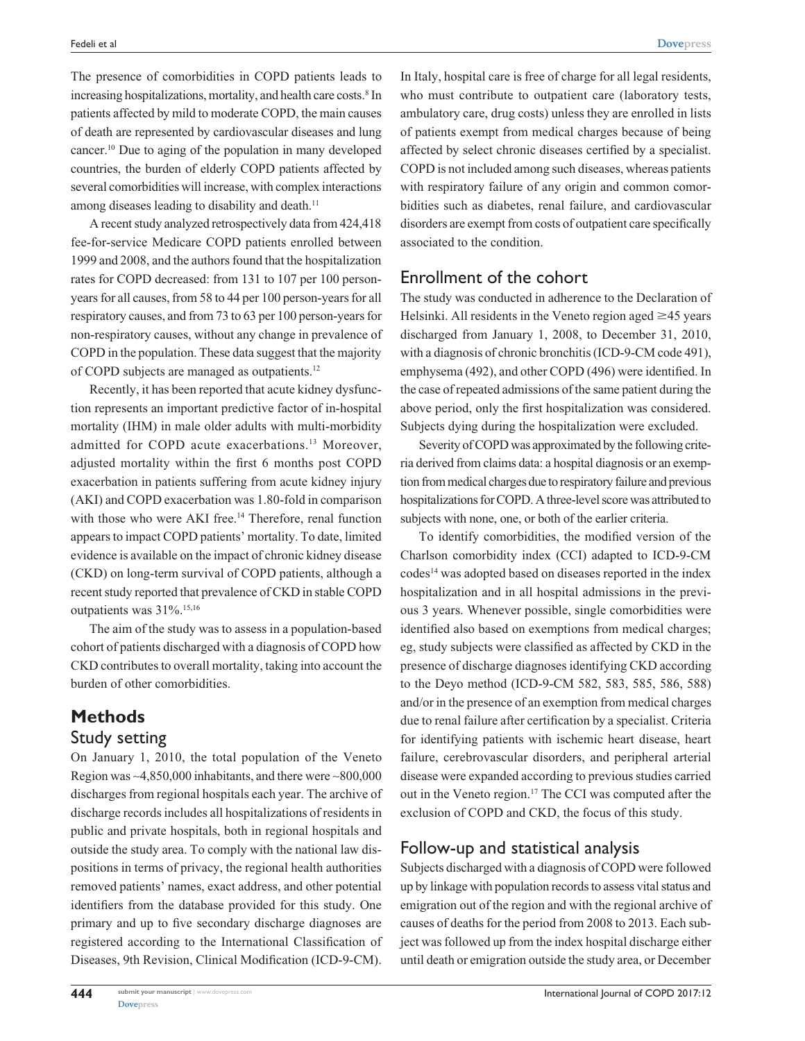The presence of comorbidities in COPD patients leads to increasing hospitalizations, mortality, and health care costs.<sup>8</sup> In patients affected by mild to moderate COPD, the main causes of death are represented by cardiovascular diseases and lung cancer.10 Due to aging of the population in many developed countries, the burden of elderly COPD patients affected by several comorbidities will increase, with complex interactions among diseases leading to disability and death.<sup>11</sup>

A recent study analyzed retrospectively data from 424,418 fee-for-service Medicare COPD patients enrolled between 1999 and 2008, and the authors found that the hospitalization rates for COPD decreased: from 131 to 107 per 100 personyears for all causes, from 58 to 44 per 100 person-years for all respiratory causes, and from 73 to 63 per 100 person-years for non-respiratory causes, without any change in prevalence of COPD in the population. These data suggest that the majority of COPD subjects are managed as outpatients.12

Recently, it has been reported that acute kidney dysfunction represents an important predictive factor of in-hospital mortality (IHM) in male older adults with multi-morbidity admitted for COPD acute exacerbations.13 Moreover, adjusted mortality within the first 6 months post COPD exacerbation in patients suffering from acute kidney injury (AKI) and COPD exacerbation was 1.80-fold in comparison with those who were AKI free.<sup>14</sup> Therefore, renal function appears to impact COPD patients' mortality. To date, limited evidence is available on the impact of chronic kidney disease (CKD) on long-term survival of COPD patients, although a recent study reported that prevalence of CKD in stable COPD outpatients was  $31\%$ .<sup>15,16</sup>

The aim of the study was to assess in a population-based cohort of patients discharged with a diagnosis of COPD how CKD contributes to overall mortality, taking into account the burden of other comorbidities.

## **Methods** Study setting

On January 1, 2010, the total population of the Veneto Region was  $\sim$ 4,850,000 inhabitants, and there were  $\sim$ 800,000 discharges from regional hospitals each year. The archive of discharge records includes all hospitalizations of residents in public and private hospitals, both in regional hospitals and outside the study area. To comply with the national law dispositions in terms of privacy, the regional health authorities removed patients' names, exact address, and other potential identifiers from the database provided for this study. One primary and up to five secondary discharge diagnoses are registered according to the International Classification of Diseases, 9th Revision, Clinical Modification (ICD-9-CM).

In Italy, hospital care is free of charge for all legal residents, who must contribute to outpatient care (laboratory tests, ambulatory care, drug costs) unless they are enrolled in lists of patients exempt from medical charges because of being affected by select chronic diseases certified by a specialist. COPD is not included among such diseases, whereas patients with respiratory failure of any origin and common comorbidities such as diabetes, renal failure, and cardiovascular disorders are exempt from costs of outpatient care specifically associated to the condition.

#### Enrollment of the cohort

The study was conducted in adherence to the Declaration of Helsinki. All residents in the Veneto region aged  $\geq$ 45 years discharged from January 1, 2008, to December 31, 2010, with a diagnosis of chronic bronchitis (ICD-9-CM code 491), emphysema (492), and other COPD (496) were identified. In the case of repeated admissions of the same patient during the above period, only the first hospitalization was considered. Subjects dying during the hospitalization were excluded.

Severity of COPD was approximated by the following criteria derived from claims data: a hospital diagnosis or an exemption from medical charges due to respiratory failure and previous hospitalizations for COPD. A three-level score was attributed to subjects with none, one, or both of the earlier criteria.

To identify comorbidities, the modified version of the Charlson comorbidity index (CCI) adapted to ICD-9-CM codes<sup>14</sup> was adopted based on diseases reported in the index hospitalization and in all hospital admissions in the previous 3 years. Whenever possible, single comorbidities were identified also based on exemptions from medical charges; eg, study subjects were classified as affected by CKD in the presence of discharge diagnoses identifying CKD according to the Deyo method (ICD-9-CM 582, 583, 585, 586, 588) and/or in the presence of an exemption from medical charges due to renal failure after certification by a specialist. Criteria for identifying patients with ischemic heart disease, heart failure, cerebrovascular disorders, and peripheral arterial disease were expanded according to previous studies carried out in the Veneto region.17 The CCI was computed after the exclusion of COPD and CKD, the focus of this study.

## Follow-up and statistical analysis

Subjects discharged with a diagnosis of COPD were followed up by linkage with population records to assess vital status and emigration out of the region and with the regional archive of causes of deaths for the period from 2008 to 2013. Each subject was followed up from the index hospital discharge either until death or emigration outside the study area, or December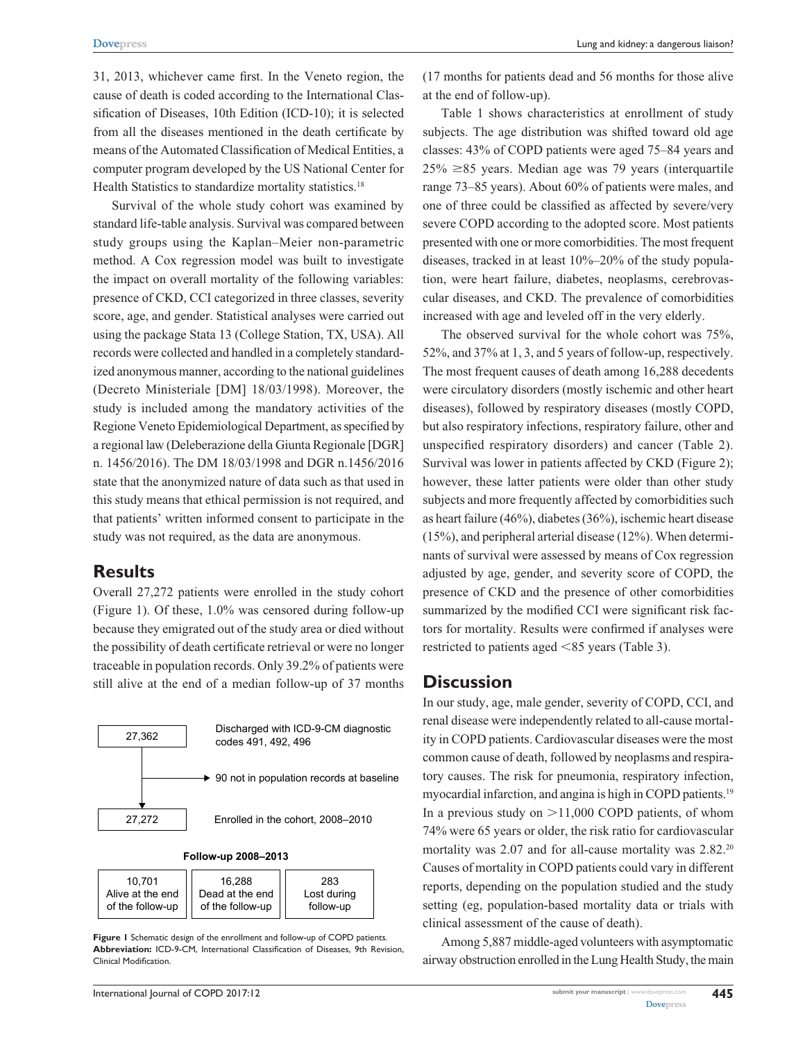31, 2013, whichever came first. In the Veneto region, the cause of death is coded according to the International Classification of Diseases, 10th Edition (ICD-10); it is selected from all the diseases mentioned in the death certificate by means of the Automated Classification of Medical Entities, a computer program developed by the US National Center for Health Statistics to standardize mortality statistics.<sup>18</sup>

Survival of the whole study cohort was examined by standard life-table analysis. Survival was compared between study groups using the Kaplan–Meier non-parametric method. A Cox regression model was built to investigate the impact on overall mortality of the following variables: presence of CKD, CCI categorized in three classes, severity score, age, and gender. Statistical analyses were carried out using the package Stata 13 (College Station, TX, USA). All records were collected and handled in a completely standardized anonymous manner, according to the national guidelines (Decreto Ministeriale [DM] 18/03/1998). Moreover, the study is included among the mandatory activities of the Regione Veneto Epidemiological Department, as specified by a regional law (Deleberazione della Giunta Regionale [DGR] n. 1456/2016). The DM 18/03/1998 and DGR n.1456/2016 state that the anonymized nature of data such as that used in this study means that ethical permission is not required, and that patients' written informed consent to participate in the study was not required, as the data are anonymous.

#### **Results**

Overall 27,272 patients were enrolled in the study cohort (Figure 1). Of these, 1.0% was censored during follow-up because they emigrated out of the study area or died without the possibility of death certificate retrieval or were no longer traceable in population records. Only 39.2% of patients were still alive at the end of a median follow-up of 37 months



#### Follow-up 2008-2013

**Figure 1** Schematic design of the enrollment and follow-up of COPD patients. **Abbreviation:** ICD-9-CM, International Classification of Diseases, 9th Revision, Clinical Modification.

(17 months for patients dead and 56 months for those alive at the end of follow-up).

Table 1 shows characteristics at enrollment of study subjects. The age distribution was shifted toward old age classes: 43% of COPD patients were aged 75–84 years and  $25\% \geq 85$  years. Median age was 79 years (interquartile range 73–85 years). About 60% of patients were males, and one of three could be classified as affected by severe/very severe COPD according to the adopted score. Most patients presented with one or more comorbidities. The most frequent diseases, tracked in at least 10%–20% of the study population, were heart failure, diabetes, neoplasms, cerebrovascular diseases, and CKD. The prevalence of comorbidities increased with age and leveled off in the very elderly.

The observed survival for the whole cohort was 75%, 52%, and 37% at 1, 3, and 5 years of follow-up, respectively. The most frequent causes of death among 16,288 decedents were circulatory disorders (mostly ischemic and other heart diseases), followed by respiratory diseases (mostly COPD, but also respiratory infections, respiratory failure, other and unspecified respiratory disorders) and cancer (Table 2). Survival was lower in patients affected by CKD (Figure 2); however, these latter patients were older than other study subjects and more frequently affected by comorbidities such as heart failure (46%), diabetes (36%), ischemic heart disease (15%), and peripheral arterial disease (12%). When determinants of survival were assessed by means of Cox regression adjusted by age, gender, and severity score of COPD, the presence of CKD and the presence of other comorbidities summarized by the modified CCI were significant risk factors for mortality. Results were confirmed if analyses were restricted to patients aged  $<85$  years (Table 3).

#### **Discussion**

In our study, age, male gender, severity of COPD, CCI, and renal disease were independently related to all-cause mortality in COPD patients. Cardiovascular diseases were the most common cause of death, followed by neoplasms and respiratory causes. The risk for pneumonia, respiratory infection, myocardial infarction, and angina is high in COPD patients.19 In a previous study on  $>11,000$  COPD patients, of whom 74% were 65 years or older, the risk ratio for cardiovascular mortality was 2.07 and for all-cause mortality was 2.82.<sup>20</sup> Causes of mortality in COPD patients could vary in different reports, depending on the population studied and the study setting (eg, population-based mortality data or trials with clinical assessment of the cause of death).

Among 5,887 middle-aged volunteers with asymptomatic airway obstruction enrolled in the Lung Health Study, the main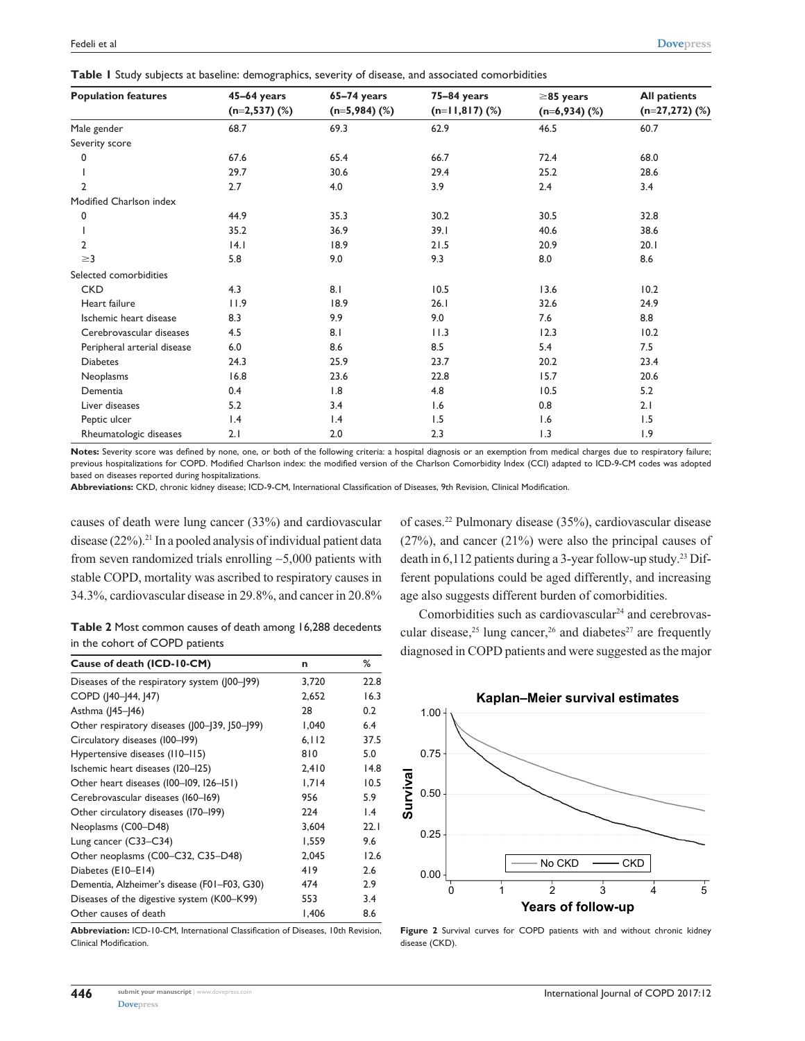|  |  |  |  |  |  |  | Table I Study subjects at baseline: demographics, severity of disease, and associated comorbidities |
|--|--|--|--|--|--|--|-----------------------------------------------------------------------------------------------------|
|--|--|--|--|--|--|--|-----------------------------------------------------------------------------------------------------|

| <b>Population features</b>  | $45-64$ years  | $65-74$ years   | $75-84$ years   | $\geq$ 85 years | <b>All patients</b> |
|-----------------------------|----------------|-----------------|-----------------|-----------------|---------------------|
|                             | $(n=2,537)(%)$ | $(n=5,984)$ (%) | $(n=11,817)(%)$ | $(n=6,934)$ (%) | $(n=27,272)$ (%)    |
| Male gender                 | 68.7           | 69.3            | 62.9            | 46.5            | 60.7                |
| Severity score              |                |                 |                 |                 |                     |
| 0                           | 67.6           | 65.4            | 66.7            | 72.4            | 68.0                |
|                             | 29.7           | 30.6            | 29.4            | 25.2            | 28.6                |
| $\overline{2}$              | 2.7            | 4.0             | 3.9             | 2.4             | 3.4                 |
| Modified Charlson index     |                |                 |                 |                 |                     |
| 0                           | 44.9           | 35.3            | 30.2            | 30.5            | 32.8                |
|                             | 35.2           | 36.9            | 39.1            | 40.6            | 38.6                |
| $\overline{2}$              | 4.1            | 18.9            | 21.5            | 20.9            | 20.1                |
| $\geq$ 3                    | 5.8            | 9.0             | 9.3             | 8.0             | 8.6                 |
| Selected comorbidities      |                |                 |                 |                 |                     |
| <b>CKD</b>                  | 4.3            | 8.1             | 10.5            | 13.6            | 10.2                |
| Heart failure               | 11.9           | 18.9            | 26.1            | 32.6            | 24.9                |
| Ischemic heart disease      | 8.3            | 9.9             | 9.0             | 7.6             | 8.8                 |
| Cerebrovascular diseases    | 4.5            | 8.1             | 11.3            | 12.3            | 10.2                |
| Peripheral arterial disease | 6.0            | 8.6             | 8.5             | 5.4             | 7.5                 |
| <b>Diabetes</b>             | 24.3           | 25.9            | 23.7            | 20.2            | 23.4                |
| Neoplasms                   | 16.8           | 23.6            | 22.8            | 15.7            | 20.6                |
| Dementia                    | 0.4            | 1.8             | 4.8             | 10.5            | 5.2                 |
| Liver diseases              | 5.2            | 3.4             | 1.6             | 0.8             | 2.1                 |
| Peptic ulcer                | 1.4            | $\mathsf{I}$ .4 | 1.5             | 1.6             | 1.5                 |
| Rheumatologic diseases      | 2.1            | 2.0             | 2.3             | 1.3             | 1.9                 |

**Notes:** Severity score was defined by none, one, or both of the following criteria: a hospital diagnosis or an exemption from medical charges due to respiratory failure; previous hospitalizations for COPD. Modified Charlson index: the modified version of the Charlson Comorbidity Index (CCI) adapted to ICD-9-CM codes was adopted based on diseases reported during hospitalizations.

**Abbreviations:** CKD, chronic kidney disease; ICD-9-CM, International Classification of Diseases, 9th Revision, Clinical Modification.

causes of death were lung cancer (33%) and cardiovascular disease  $(22\%)$ .<sup>21</sup> In a pooled analysis of individual patient data from seven randomized trials enrolling ~5,000 patients with stable COPD, mortality was ascribed to respiratory causes in 34.3%, cardiovascular disease in 29.8%, and cancer in 20.8%

**Table 2** Most common causes of death among 16,288 decedents

in the cohort of COPD patients

of cases.22 Pulmonary disease (35%), cardiovascular disease (27%), and cancer (21%) were also the principal causes of death in 6,112 patients during a 3-year follow-up study.<sup>23</sup> Different populations could be aged differently, and increasing age also suggests different burden of comorbidities.

Comorbidities such as cardiovascular $24$  and cerebrovascular disease,<sup>25</sup> lung cancer,<sup>26</sup> and diabetes<sup>27</sup> are frequently diagnosed in COPD patients and were suggested as the major

| Cause of death (ICD-10-CM)                    | n      | ℅               |
|-----------------------------------------------|--------|-----------------|
| Diseases of the respiratory system (100-199)  | 3,720  | 22.8            |
| COPD (J40-J44, J47)                           | 2,652  | 16.3            |
| Asthma (145–146)                              | 28     | 0.2             |
| Other respiratory diseases (100–139, 150–199) | 1,040  | 6.4             |
| Circulatory diseases (100-199)                | 6, 112 | 37.5            |
| Hypertensive diseases (110–115)               | 810    | 5.0             |
| Ischemic heart diseases (120-125)             | 2,410  | 14.8            |
| Other heart diseases (100-109, 126-151)       | 1,714  | 10.5            |
| Cerebrovascular diseases (160-169)            | 956    | 5.9             |
| Other circulatory diseases (170-199)          | 224    | $\mathsf{I}$ .4 |
| Neoplasms (C00-D48)                           | 3,604  | 22.1            |
| Lung cancer (C33–C34)                         | 1,559  | 9.6             |
| Other neoplasms (C00-C32, C35-D48)            | 2,045  | 12.6            |
| Diabetes (E10-E14)                            | 419    | 2.6             |
| Dementia, Alzheimer's disease (F01-F03, G30)  | 474    | 2.9             |
| Diseases of the digestive system (K00-K99)    | 553    | 3.4             |
| Other causes of death                         | 1,406  | 8.6             |

**Abbreviation:** ICD-10-CM, International Classification of Diseases, 10th Revision, Clinical Modification.





**Figure 2** Survival curves for COPD patients with and without chronic kidney disease (CKD).

**446**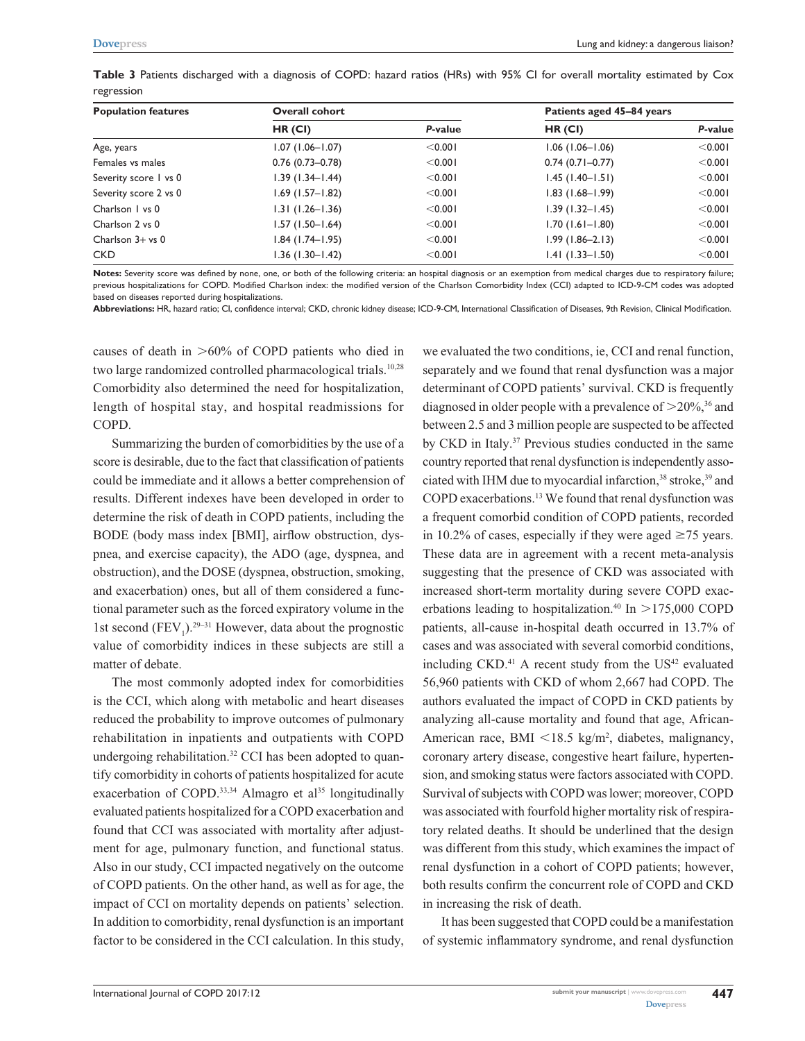**Table 3** Patients discharged with a diagnosis of COPD: hazard ratios (HRs) with 95% CI for overall mortality estimated by Cox regression

| <b>Population features</b> | <b>Overall cohort</b> |         | Patients aged 45–84 years |         |
|----------------------------|-----------------------|---------|---------------------------|---------|
|                            | HR (CI)               | P-value | HR (CI)                   | P-value |
| Age, years                 | $1.07(1.06 - 1.07)$   | < 0.001 | $1.06(1.06 - 1.06)$       | < 0.001 |
| Females vs males           | $0.76(0.73 - 0.78)$   | < 0.001 | $0.74(0.71 - 0.77)$       | < 0.001 |
| Severity score I vs 0      | 1.39 (1.34–1.44)      | < 0.001 | $1.45$ (1.40-1.51)        | < 0.001 |
| Severity score 2 vs 0      | $1.69$ (1.57-1.82)    | < 0.001 | $1.83$ (1.68-1.99)        | < 0.001 |
| Charlson I vs 0            | 1.31 (1.26–1.36)      | < 0.001 | $1.39(1.32 - 1.45)$       | < 0.001 |
| Charlson 2 vs 0            | $1.57(1.50 - 1.64)$   | < 0.001 | $1.70(1.61 - 1.80)$       | < 0.001 |
| Charlson $3+$ vs 0         | I.84 (1.74–1.95)      | < 0.001 | $1.99(1.86 - 2.13)$       | < 0.001 |
| <b>CKD</b>                 | 1.36 (1.30-1.42)      | < 0.001 | 1.41 (1.33–1.50)          | < 0.001 |

**Notes:** Severity score was defined by none, one, or both of the following criteria: an hospital diagnosis or an exemption from medical charges due to respiratory failure; previous hospitalizations for COPD. Modified Charlson index: the modified version of the Charlson Comorbidity Index (CCI) adapted to ICD-9-CM codes was adopted based on diseases reported during hospitalizations.

**Abbreviations:** HR, hazard ratio; CI, confidence interval; CKD, chronic kidney disease; ICD-9-CM, International Classification of Diseases, 9th Revision, Clinical Modification.

causes of death in  $>60\%$  of COPD patients who died in two large randomized controlled pharmacological trials.<sup>10,28</sup> Comorbidity also determined the need for hospitalization, length of hospital stay, and hospital readmissions for COPD.

Summarizing the burden of comorbidities by the use of a score is desirable, due to the fact that classification of patients could be immediate and it allows a better comprehension of results. Different indexes have been developed in order to determine the risk of death in COPD patients, including the BODE (body mass index [BMI], airflow obstruction, dyspnea, and exercise capacity), the ADO (age, dyspnea, and obstruction), and the DOSE (dyspnea, obstruction, smoking, and exacerbation) ones, but all of them considered a functional parameter such as the forced expiratory volume in the 1st second  $(FEV_1)$ .<sup>29–31</sup> However, data about the prognostic value of comorbidity indices in these subjects are still a matter of debate.

The most commonly adopted index for comorbidities is the CCI, which along with metabolic and heart diseases reduced the probability to improve outcomes of pulmonary rehabilitation in inpatients and outpatients with COPD undergoing rehabilitation.<sup>32</sup> CCI has been adopted to quantify comorbidity in cohorts of patients hospitalized for acute exacerbation of COPD.<sup>33,34</sup> Almagro et al<sup>35</sup> longitudinally evaluated patients hospitalized for a COPD exacerbation and found that CCI was associated with mortality after adjustment for age, pulmonary function, and functional status. Also in our study, CCI impacted negatively on the outcome of COPD patients. On the other hand, as well as for age, the impact of CCI on mortality depends on patients' selection. In addition to comorbidity, renal dysfunction is an important factor to be considered in the CCI calculation. In this study, we evaluated the two conditions, ie, CCI and renal function, separately and we found that renal dysfunction was a major determinant of COPD patients' survival. CKD is frequently diagnosed in older people with a prevalence of  $>20\%$ ,<sup>36</sup> and between 2.5 and 3 million people are suspected to be affected by CKD in Italy.37 Previous studies conducted in the same country reported that renal dysfunction is independently associated with IHM due to myocardial infarction,<sup>38</sup> stroke,<sup>39</sup> and COPD exacerbations.13 We found that renal dysfunction was a frequent comorbid condition of COPD patients, recorded in 10.2% of cases, especially if they were aged  $\geq$  75 years. These data are in agreement with a recent meta-analysis suggesting that the presence of CKD was associated with increased short-term mortality during severe COPD exacerbations leading to hospitalization.<sup>40</sup> In  $>175,000$  COPD patients, all-cause in-hospital death occurred in 13.7% of cases and was associated with several comorbid conditions, including CKD. $41$  A recent study from the US $42$  evaluated 56,960 patients with CKD of whom 2,667 had COPD. The authors evaluated the impact of COPD in CKD patients by analyzing all-cause mortality and found that age, African-American race, BMI  $\leq 18.5$  kg/m<sup>2</sup>, diabetes, malignancy, coronary artery disease, congestive heart failure, hypertension, and smoking status were factors associated with COPD. Survival of subjects with COPD was lower; moreover, COPD was associated with fourfold higher mortality risk of respiratory related deaths. It should be underlined that the design was different from this study, which examines the impact of renal dysfunction in a cohort of COPD patients; however, both results confirm the concurrent role of COPD and CKD in increasing the risk of death.

It has been suggested that COPD could be a manifestation of systemic inflammatory syndrome, and renal dysfunction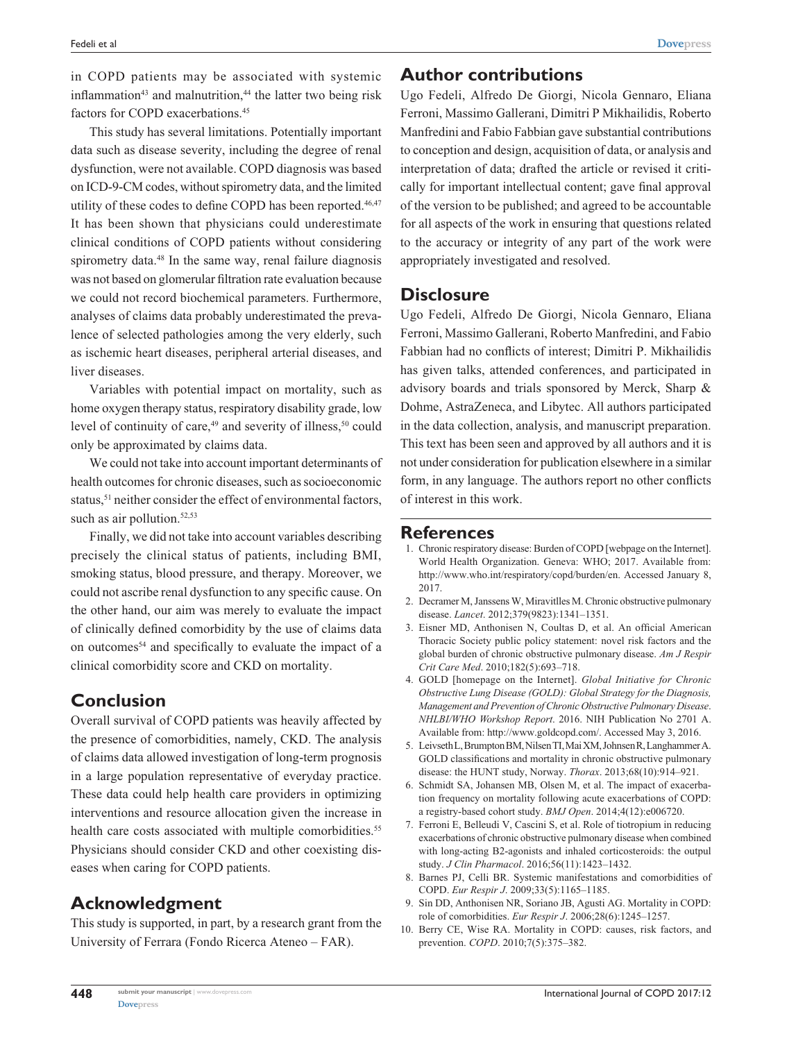in COPD patients may be associated with systemic inflammation<sup>43</sup> and malnutrition,<sup>44</sup> the latter two being risk factors for COPD exacerbations.<sup>45</sup>

This study has several limitations. Potentially important data such as disease severity, including the degree of renal dysfunction, were not available. COPD diagnosis was based on ICD-9-CM codes, without spirometry data, and the limited utility of these codes to define COPD has been reported.<sup>46,47</sup> It has been shown that physicians could underestimate clinical conditions of COPD patients without considering spirometry data.<sup>48</sup> In the same way, renal failure diagnosis was not based on glomerular filtration rate evaluation because we could not record biochemical parameters. Furthermore, analyses of claims data probably underestimated the prevalence of selected pathologies among the very elderly, such as ischemic heart diseases, peripheral arterial diseases, and liver diseases.

Variables with potential impact on mortality, such as home oxygen therapy status, respiratory disability grade, low level of continuity of care,<sup>49</sup> and severity of illness,<sup>50</sup> could only be approximated by claims data.

We could not take into account important determinants of health outcomes for chronic diseases, such as socioeconomic status,<sup>51</sup> neither consider the effect of environmental factors, such as air pollution.<sup>52,53</sup>

Finally, we did not take into account variables describing precisely the clinical status of patients, including BMI, smoking status, blood pressure, and therapy. Moreover, we could not ascribe renal dysfunction to any specific cause. On the other hand, our aim was merely to evaluate the impact of clinically defined comorbidity by the use of claims data on outcomes54 and specifically to evaluate the impact of a clinical comorbidity score and CKD on mortality.

## **Conclusion**

Overall survival of COPD patients was heavily affected by the presence of comorbidities, namely, CKD. The analysis of claims data allowed investigation of long-term prognosis in a large population representative of everyday practice. These data could help health care providers in optimizing interventions and resource allocation given the increase in health care costs associated with multiple comorbidities.<sup>55</sup> Physicians should consider CKD and other coexisting diseases when caring for COPD patients.

# **Acknowledgment**

This study is supported, in part, by a research grant from the University of Ferrara (Fondo Ricerca Ateneo – FAR).

#### **Author contributions**

Ugo Fedeli, Alfredo De Giorgi, Nicola Gennaro, Eliana Ferroni, Massimo Gallerani, Dimitri P Mikhailidis, Roberto Manfredini and Fabio Fabbian gave substantial contributions to conception and design, acquisition of data, or analysis and interpretation of data; drafted the article or revised it critically for important intellectual content; gave final approval of the version to be published; and agreed to be accountable for all aspects of the work in ensuring that questions related to the accuracy or integrity of any part of the work were appropriately investigated and resolved.

#### **Disclosure**

Ugo Fedeli, Alfredo De Giorgi, Nicola Gennaro, Eliana Ferroni, Massimo Gallerani, Roberto Manfredini, and Fabio Fabbian had no conflicts of interest; Dimitri P. Mikhailidis has given talks, attended conferences, and participated in advisory boards and trials sponsored by Merck, Sharp & Dohme, AstraZeneca, and Libytec. All authors participated in the data collection, analysis, and manuscript preparation. This text has been seen and approved by all authors and it is not under consideration for publication elsewhere in a similar form, in any language. The authors report no other conflicts of interest in this work.

#### **References**

- 1. Chronic respiratory disease: Burden of COPD [webpage on the Internet]. World Health Organization. Geneva: WHO; 2017. Available from: <http://www.who.int/respiratory/copd/burden/en>. Accessed January 8, 2017.
- 2. Decramer M, Janssens W, Miravitlles M. Chronic obstructive pulmonary disease. *Lancet*. 2012;379(9823):1341–1351.
- 3. Eisner MD, Anthonisen N, Coultas D, et al. An official American Thoracic Society public policy statement: novel risk factors and the global burden of chronic obstructive pulmonary disease. *Am J Respir Crit Care Med*. 2010;182(5):693–718.
- 4. GOLD [homepage on the Internet]. *Global Initiative for Chronic Obstructive Lung Disease (GOLD): Global Strategy for the Diagnosis, Management and Prevention of Chronic Obstructive Pulmonary Disease*. *NHLBI/WHO Workshop Report*. 2016. NIH Publication No 2701 A. Available from: [http://www.goldcopd.com/.](http://www.goldcopd.com/) Accessed May 3, 2016.
- 5. Leivseth L, Brumpton BM, Nilsen TI, Mai XM, Johnsen R, Langhammer A. GOLD classifications and mortality in chronic obstructive pulmonary disease: the HUNT study, Norway. *Thorax*. 2013;68(10):914–921.
- 6. Schmidt SA, Johansen MB, Olsen M, et al. The impact of exacerbation frequency on mortality following acute exacerbations of COPD: a registry-based cohort study. *BMJ Open*. 2014;4(12):e006720.
- 7. Ferroni E, Belleudi V, Cascini S, et al. Role of tiotropium in reducing exacerbations of chronic obstructive pulmonary disease when combined with long-acting Β2-agonists and inhaled corticosteroids: the outpul study. *J Clin Pharmacol*. 2016;56(11):1423–1432.
- 8. Barnes PJ, Celli BR. Systemic manifestations and comorbidities of COPD. *Eur Respir J*. 2009;33(5):1165–1185.
- 9. Sin DD, Anthonisen NR, Soriano JB, Agusti AG. Mortality in COPD: role of comorbidities. *Eur Respir J*. 2006;28(6):1245–1257.
- 10. Berry CE, Wise RA. Mortality in COPD: causes, risk factors, and prevention. *COPD*. 2010;7(5):375–382.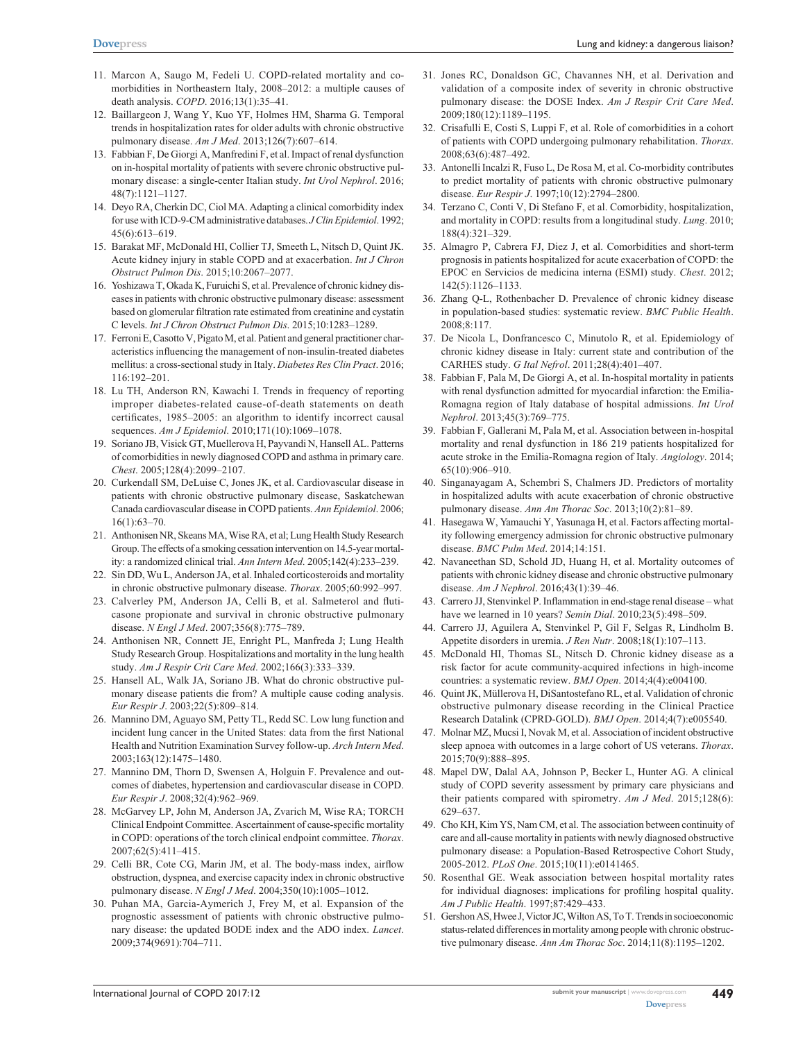- 11. Marcon A, Saugo M, Fedeli U. COPD-related mortality and comorbidities in Northeastern Italy, 2008–2012: a multiple causes of death analysis. *COPD*. 2016;13(1):35–41.
- 12. Baillargeon J, Wang Y, Kuo YF, Holmes HM, Sharma G. Temporal trends in hospitalization rates for older adults with chronic obstructive pulmonary disease. *Am J Med*. 2013;126(7):607–614.
- 13. Fabbian F, De Giorgi A, Manfredini F, et al. Impact of renal dysfunction on in-hospital mortality of patients with severe chronic obstructive pulmonary disease: a single-center Italian study. *Int Urol Nephrol*. 2016; 48(7):1121–1127.
- 14. Deyo RA, Cherkin DC, Ciol MA. Adapting a clinical comorbidity index for use with ICD-9-CM administrative databases. *J Clin Epidemiol*. 1992; 45(6):613–619.
- 15. Barakat MF, McDonald HI, Collier TJ, Smeeth L, Nitsch D, Quint JK. Acute kidney injury in stable COPD and at exacerbation. *Int J Chron Obstruct Pulmon Dis*. 2015;10:2067–2077.
- 16. Yoshizawa T, Okada K, Furuichi S, et al. Prevalence of chronic kidney diseases in patients with chronic obstructive pulmonary disease: assessment based on glomerular filtration rate estimated from creatinine and cystatin C levels. *Int J Chron Obstruct Pulmon Dis*. 2015;10:1283–1289.
- 17. Ferroni E, Casotto V, Pigato M, et al. Patient and general practitioner characteristics influencing the management of non-insulin-treated diabetes mellitus: a cross-sectional study in Italy. *Diabetes Res Clin Pract*. 2016; 116:192–201.
- 18. Lu TH, Anderson RN, Kawachi I. Trends in frequency of reporting improper diabetes-related cause-of-death statements on death certificates, 1985–2005: an algorithm to identify incorrect causal sequences. *Am J Epidemiol*. 2010;171(10):1069–1078.
- 19. Soriano JB, Visick GT, Muellerova H, Payvandi N, Hansell AL. Patterns of comorbidities in newly diagnosed COPD and asthma in primary care. *Chest*. 2005;128(4):2099–2107.
- 20. Curkendall SM, DeLuise C, Jones JK, et al. Cardiovascular disease in patients with chronic obstructive pulmonary disease, Saskatchewan Canada cardiovascular disease in COPD patients. *Ann Epidemiol*. 2006; 16(1):63–70.
- 21. Anthonisen NR, Skeans MA, Wise RA, et al; Lung Health Study Research Group. The effects of a smoking cessation intervention on 14.5-year mortality: a randomized clinical trial. *Ann Intern Med*. 2005;142(4):233–239.
- 22. Sin DD, Wu L, Anderson JA, et al. Inhaled corticosteroids and mortality in chronic obstructive pulmonary disease. *Thorax*. 2005;60:992–997.
- 23. Calverley PM, Anderson JA, Celli B, et al. Salmeterol and fluticasone propionate and survival in chronic obstructive pulmonary disease. *N Engl J Med*. 2007;356(8):775–789.
- 24. Anthonisen NR, Connett JE, Enright PL, Manfreda J; Lung Health Study Research Group. Hospitalizations and mortality in the lung health study. *Am J Respir Crit Care Med*. 2002;166(3):333–339.
- 25. Hansell AL, Walk JA, Soriano JB. What do chronic obstructive pulmonary disease patients die from? A multiple cause coding analysis. *Eur Respir J*. 2003;22(5):809–814.
- 26. Mannino DM, Aguayo SM, Petty TL, Redd SC. Low lung function and incident lung cancer in the United States: data from the first National Health and Nutrition Examination Survey follow-up. *Arch Intern Med*. 2003;163(12):1475–1480.
- 27. Mannino DM, Thorn D, Swensen A, Holguin F. Prevalence and outcomes of diabetes, hypertension and cardiovascular disease in COPD. *Eur Respir J*. 2008;32(4):962–969.
- 28. McGarvey LP, John M, Anderson JA, Zvarich M, Wise RA; TORCH Clinical Endpoint Committee. Ascertainment of cause-specific mortality in COPD: operations of the torch clinical endpoint committee. *Thorax*.  $2007.62(5)$ :411-415
- 29. Celli BR, Cote CG, Marin JM, et al. The body-mass index, airflow obstruction, dyspnea, and exercise capacity index in chronic obstructive pulmonary disease. *N Engl J Med*. 2004;350(10):1005–1012.
- 30. Puhan MA, Garcia-Aymerich J, Frey M, et al. Expansion of the prognostic assessment of patients with chronic obstructive pulmonary disease: the updated BODE index and the ADO index. *Lancet*. 2009;374(9691):704–711.
- 31. Jones RC, Donaldson GC, Chavannes NH, et al. Derivation and validation of a composite index of severity in chronic obstructive pulmonary disease: the DOSE Index. *Am J Respir Crit Care Med*. 2009;180(12):1189–1195.
- 32. Crisafulli E, Costi S, Luppi F, et al. Role of comorbidities in a cohort of patients with COPD undergoing pulmonary rehabilitation. *Thorax*. 2008;63(6):487–492.
- 33. Antonelli Incalzi R, Fuso L, De Rosa M, et al. Co-morbidity contributes to predict mortality of patients with chronic obstructive pulmonary disease. *Eur Respir J*. 1997;10(12):2794–2800.
- 34. Terzano C, Conti V, Di Stefano F, et al. Comorbidity, hospitalization, and mortality in COPD: results from a longitudinal study. *Lung*. 2010; 188(4):321–329.
- 35. Almagro P, Cabrera FJ, Diez J, et al. Comorbidities and short-term prognosis in patients hospitalized for acute exacerbation of COPD: the EPOC en Servicios de medicina interna (ESMI) study. *Chest*. 2012; 142(5):1126–1133.
- 36. Zhang Q-L, Rothenbacher D. Prevalence of chronic kidney disease in population-based studies: systematic review. *BMC Public Health*. 2008;8:117.
- 37. De Nicola L, Donfrancesco C, Minutolo R, et al. Epidemiology of chronic kidney disease in Italy: current state and contribution of the CARHES study. *G Ital Nefrol*. 2011;28(4):401–407.
- 38. Fabbian F, Pala M, De Giorgi A, et al. In-hospital mortality in patients with renal dysfunction admitted for myocardial infarction: the Emilia-Romagna region of Italy database of hospital admissions. *Int Urol Nephrol*. 2013;45(3):769–775.
- 39. Fabbian F, Gallerani M, Pala M, et al. Association between in-hospital mortality and renal dysfunction in 186 219 patients hospitalized for acute stroke in the Emilia-Romagna region of Italy. *Angiology*. 2014; 65(10):906–910.
- 40. Singanayagam A, Schembri S, Chalmers JD. Predictors of mortality in hospitalized adults with acute exacerbation of chronic obstructive pulmonary disease. *Ann Am Thorac Soc*. 2013;10(2):81–89.
- 41. Hasegawa W, Yamauchi Y, Yasunaga H, et al. Factors affecting mortality following emergency admission for chronic obstructive pulmonary disease. *BMC Pulm Med*. 2014;14:151.
- 42. Navaneethan SD, Schold JD, Huang H, et al. Mortality outcomes of patients with chronic kidney disease and chronic obstructive pulmonary disease. *Am J Nephrol*. 2016;43(1):39–46.
- 43. Carrero JJ, Stenvinkel P. Inflammation in end-stage renal disease what have we learned in 10 years? *Semin Dial*. 2010;23(5):498–509.
- 44. Carrero JJ, Aguilera A, Stenvinkel P, Gil F, Selgas R, Lindholm B. Appetite disorders in uremia. *J Ren Nutr*. 2008;18(1):107–113.
- 45. McDonald HI, Thomas SL, Nitsch D. Chronic kidney disease as a risk factor for acute community-acquired infections in high-income countries: a systematic review. *BMJ Open*. 2014;4(4):e004100.
- 46. Quint JK, Müllerova H, DiSantostefano RL, et al. Validation of chronic obstructive pulmonary disease recording in the Clinical Practice Research Datalink (CPRD-GOLD). *BMJ Open*. 2014;4(7):e005540.
- 47. Molnar MZ, Mucsi I, Novak M, et al. Association of incident obstructive sleep apnoea with outcomes in a large cohort of US veterans. *Thorax*. 2015;70(9):888–895.
- 48. Mapel DW, Dalal AA, Johnson P, Becker L, Hunter AG. A clinical study of COPD severity assessment by primary care physicians and their patients compared with spirometry. *Am J Med*. 2015;128(6): 629–637.
- 49. Cho KH, Kim YS, Nam CM, et al. The association between continuity of care and all-cause mortality in patients with newly diagnosed obstructive pulmonary disease: a Population-Based Retrospective Cohort Study, 2005-2012. *PLoS One*. 2015;10(11):e0141465.
- 50. Rosenthal GE. Weak association between hospital mortality rates for individual diagnoses: implications for profiling hospital quality. *Am J Public Health*. 1997;87:429–433.
- 51. Gershon AS, Hwee J, Victor JC, Wilton AS, To T. Trends in socioeconomic status-related differences in mortality among people with chronic obstructive pulmonary disease. *Ann Am Thorac Soc*. 2014;11(8):1195–1202.